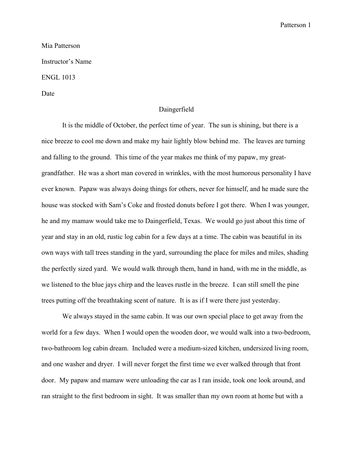## Patterson 1

## Mia Patterson Instructor's Name ENGL 1013

Date

## Daingerfield

It is the middle of October, the perfect time of year. The sun is shining, but there is a nice breeze to cool me down and make my hair lightly blow behind me. The leaves are turning and falling to the ground. This time of the year makes me think of my papaw, my greatgrandfather. He was a short man covered in wrinkles, with the most humorous personality I have ever known. Papaw was always doing things for others, never for himself, and he made sure the house was stocked with Sam's Coke and frosted donuts before I got there. When I was younger, he and my mamaw would take me to Daingerfield, Texas. We would go just about this time of year and stay in an old, rustic log cabin for a few days at a time. The cabin was beautiful in its own ways with tall trees standing in the yard, surrounding the place for miles and miles, shading the perfectly sized yard. We would walk through them, hand in hand, with me in the middle, as we listened to the blue jays chirp and the leaves rustle in the breeze. I can still smell the pine trees putting off the breathtaking scent of nature. It is as if I were there just yesterday.

We always stayed in the same cabin. It was our own special place to get away from the world for a few days. When I would open the wooden door, we would walk into a two-bedroom, two-bathroom log cabin dream. Included were a medium-sized kitchen, undersized living room, and one washer and dryer. I will never forget the first time we ever walked through that front door. My papaw and mamaw were unloading the car as I ran inside, took one look around, and ran straight to the first bedroom in sight. It was smaller than my own room at home but with a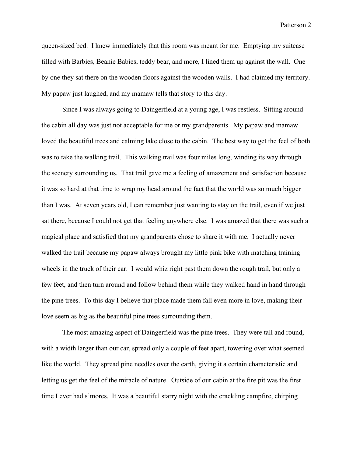Patterson 2

queen-sized bed. I knew immediately that this room was meant for me. Emptying my suitcase filled with Barbies, Beanie Babies, teddy bear, and more, I lined them up against the wall. One by one they sat there on the wooden floors against the wooden walls. I had claimed my territory. My papaw just laughed, and my mamaw tells that story to this day.

Since I was always going to Daingerfield at a young age, I was restless. Sitting around the cabin all day was just not acceptable for me or my grandparents. My papaw and mamaw loved the beautiful trees and calming lake close to the cabin. The best way to get the feel of both was to take the walking trail. This walking trail was four miles long, winding its way through the scenery surrounding us. That trail gave me a feeling of amazement and satisfaction because it was so hard at that time to wrap my head around the fact that the world was so much bigger than I was. At seven years old, I can remember just wanting to stay on the trail, even if we just sat there, because I could not get that feeling anywhere else. I was amazed that there was such a magical place and satisfied that my grandparents chose to share it with me. I actually never walked the trail because my papaw always brought my little pink bike with matching training wheels in the truck of their car. I would whiz right past them down the rough trail, but only a few feet, and then turn around and follow behind them while they walked hand in hand through the pine trees. To this day I believe that place made them fall even more in love, making their love seem as big as the beautiful pine trees surrounding them.

The most amazing aspect of Daingerfield was the pine trees. They were tall and round, with a width larger than our car, spread only a couple of feet apart, towering over what seemed like the world. They spread pine needles over the earth, giving it a certain characteristic and letting us get the feel of the miracle of nature. Outside of our cabin at the fire pit was the first time I ever had s'mores. It was a beautiful starry night with the crackling campfire, chirping